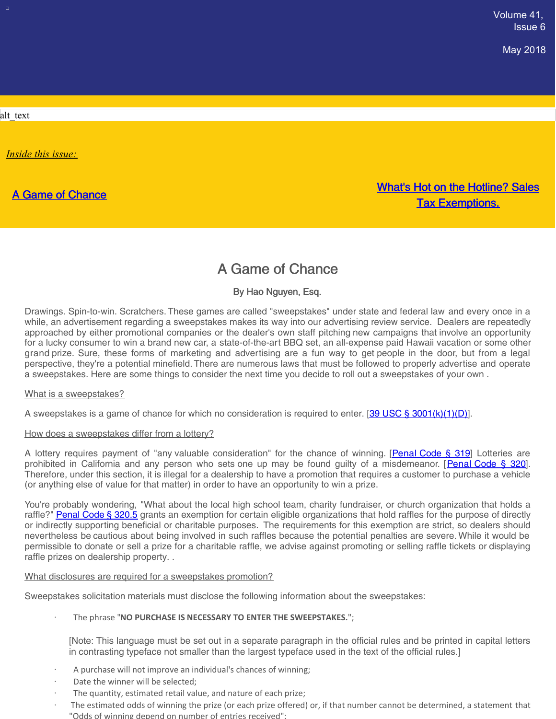May 2018

alt\_text

 $\Box$ 

*Inside this issue:*

A Game of [Chance](#page-0-0)

What's Hot on the Hotline? Sales Tax Exemptions.

# A Game of Chance

By Hao Nguyen, Esq.

<span id="page-0-0"></span>Drawings. Spin-to-win. Scratchers. These games are called "sweepstakes" under state and federal law and every once in a while, an advertisement regarding a sweepstakes makes its way into our advertising review service. Dealers are repeatedly approached by either promotional companies or the dealer's own staff pitching new campaigns that involve an opportunity for a lucky consumer to win a brand new car, a state-of-the-art BBQ set, an all-expense paid Hawaii vacation or some other grand prize. Sure, these forms of marketing and advertising are a fun way to get people in the door, but from a legal perspective, they're a potential minefield. There are numerous laws that must be followed to properly advertise and operate a sweepstakes. Here are some things to consider the next time you decide to roll out a sweepstakes of your own .

#### What is a sweepstakes?

A sweepstakes is a game of chance for which no consideration is required to enter. [39 USC § [3001\(k\)\(1\)\(D\)](https://www.law.cornell.edu/uscode/text/39/3001)].

#### How does a sweepstakes differ from a lottery?

A lottery requires payment of "any valuable consideration" for the chance of winning. [[Penal](http://leginfo.legislature.ca.gov/faces/codes_displaySection.xhtml?lawCode=PEN§ionNum=319) Code § 319] Lotteries are prohibited in California and any person who sets one up may be found guilty of a misdemeanor. [[Penal](http://leginfo.legislature.ca.gov/faces/codes_displaySection.xhtml?lawCode=PEN§ionNum=320.) Code § 320]. Therefore, under this section, it is illegal for a dealership to have a promotion that requires a customer to purchase a vehicle (or anything else of value for that matter) in order to have an opportunity to win a prize.

You're probably wondering, "What about the local high school team, charity fundraiser, or church organization that holds a raffle?" [Penal](http://leginfo.legislature.ca.gov/faces/codes_displaySection.xhtml?lawCode=PEN§ionNum=320.5) Code § 320.5 grants an exemption for certain eligible organizations that hold raffles for the purpose of directly or indirectly supporting beneficial or charitable purposes. The requirements for this exemption are strict, so dealers should nevertheless be cautious about being involved in such raffles because the potential penalties are severe. While it would be permissible to donate or sell a prize for a charitable raffle, we advise against promoting or selling raffle tickets or displaying raffle prizes on dealership property. .

#### What disclosures are required for a sweepstakes promotion?

Sweepstakes solicitation materials must disclose the following information about the sweepstakes:

· The phrase "**NO PURCHASE IS NECESSARY TO ENTER THE SWEEPSTAKES.**";

[Note: This language must be set out in a separate paragraph in the official rules and be printed in capital letters in contrasting typeface not smaller than the largest typeface used in the text of the official rules.]

- A purchase will not improve an individual's chances of winning;
- Date the winner will be selected;
- The quantity, estimated retail value, and nature of each prize;
- The estimated odds of winning the prize (or each prize offered) or, if that number cannot be determined, a statement that "Odds of winning depend on number of entries received";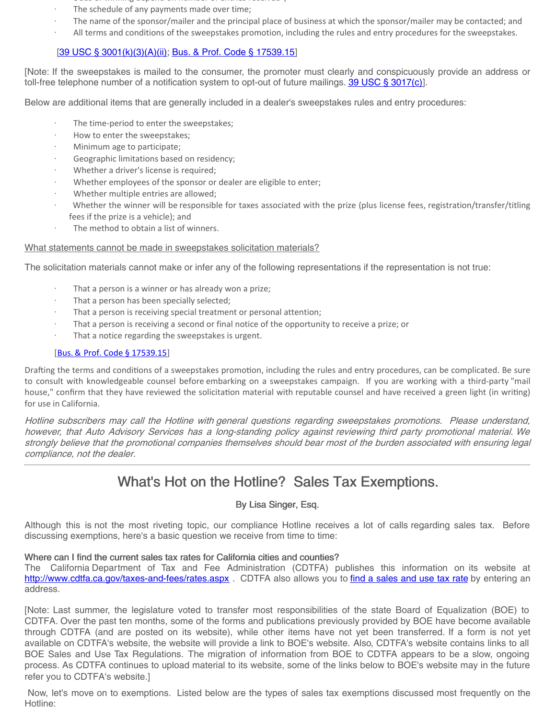- "Odds of winning depend on number of entries received";
- · The schedule of any payments made over time;
- · The name of the sponsor/mailer and the principal place of business at which the sponsor/mailer may be contacted; and
- · All terms and conditions of the sweepstakes promotion, including the rules and entry procedures for the sweepstakes.

## [39 USC § [3001\(k\)\(3\)\(A\)\(ii\)](https://www.law.cornell.edu/uscode/text/39/3001); Bus. & Prof. Code § [17539.15](https://codes.findlaw.com/ca/business-and-professions-code/bpc-sect-17539-15.html)]

[Note: If the sweepstakes is mailed to the consumer, the promoter must clearly and conspicuously provide an address or toll-free telephone number of a notification system to opt-out of future mailings. 39 USC § [3017\(c\)](https://www.law.cornell.edu/uscode/text/39/3017)].

Below are additional items that are generally included in a dealer's sweepstakes rules and entry procedures:

- The time-period to enter the sweepstakes;
- How to enter the sweepstakes;
- · Minimum age to participate;
- Geographic limitations based on residency;
- Whether a driver's license is required;
- Whether employees of the sponsor or dealer are eligible to enter;
- · Whether multiple entries are allowed;
- Whether the winner will be responsible for taxes associated with the prize (plus license fees, registration/transfer/titling fees if the prize is a vehicle); and
- The method to obtain a list of winners.

#### What statements cannot be made in sweepstakes solicitation materials?

The solicitation materials cannot make or infer any of the following representations if the representation is not true:

- That a person is a winner or has already won a prize;
- That a person has been specially selected;
- That a person is receiving special treatment or personal attention;
- That a person is receiving a second or final notice of the opportunity to receive a prize; or
- That a notice regarding the sweepstakes is urgent.

#### [Bus. & Prof. Code § [17539.15](https://codes.findlaw.com/ca/business-and-professions-code/bpc-sect-17539-15.html)]

Drafting the terms and conditions of a sweepstakes promotion, including the rules and entry procedures, can be complicated. Be sure to consult with knowledgeable counsel before embarking on a sweepstakes campaign. If you are working with a third-party "mail house," confirm that they have reviewed the solicitation material with reputable counsel and have received a green light (in writing) for use in California.

Hotline subscribers may call the Hotline with general questions regarding sweepstakes promotions. Please understand, however, that Auto Advisory Services has <sup>a</sup> long-standing policy against reviewing third party promotional material. We strongly believe that the promotional companies themselves should bear most of the burden associated with ensuring legal compliance, not the dealer.

# What's Hot on the Hotline? Sales Tax Exemptions.

### By Lisa Singer, Esq.

Although this is not the most riveting topic, our compliance Hotline receives a lot of calls regarding sales tax. Before discussing exemptions, here's a basic question we receive from time to time:

#### Where can I find the current sales tax rates for California cities and counties?

The California Department of Tax and Fee Administration (CDTFA) publishes this information on its website at <http://www.cdtfa.ca.gov/taxes-and-fees/rates.aspx> . CDTFA also allows you to find a [sales](https://gis.cdtfa.ca.gov/public/maps/taxrates/) and use tax rate by entering an address.

[Note: Last summer, the legislature voted to transfer most responsibilities of the state Board of Equalization (BOE) to CDTFA. Over the past ten months, some of the forms and publications previously provided by BOE have become available through CDTFA (and are posted on its website), while other items have not yet been transferred. If a form is not yet available on CDTFA's website, the website will provide a link to BOE's website. Also, CDTFA's website contains links to all BOE Sales and Use Tax Regulations. The migration of information from BOE to CDTFA appears to be a slow, ongoing process. As CDTFA continues to upload material to its website, some of the links below to BOE's website may in the future refer you to CDTFA's website.]

Now, let's move on to exemptions. Listed below are the types of sales tax exemptions discussed most frequently on the Hotline: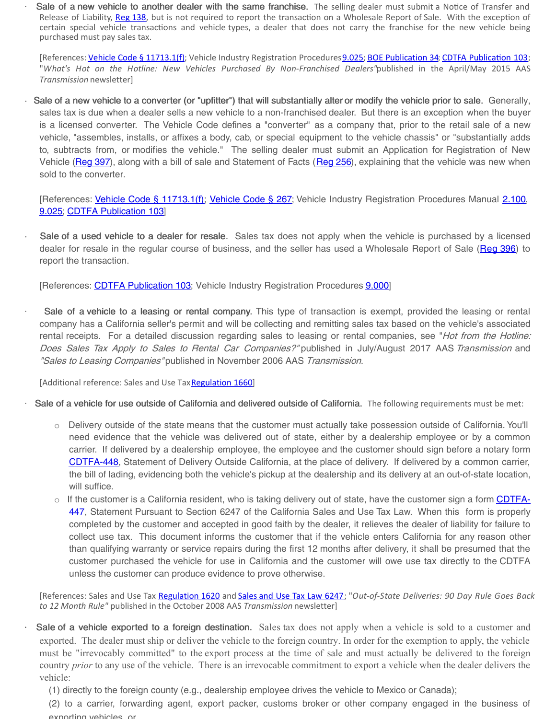Sale of a new vehicle to another dealer with the same franchise. The selling dealer must submit a Notice of Transfer and Release of Liability, [Reg](https://www.dmv.ca.gov/portal/wcm/connect/503960c5-6d95-4e5f-b123-3f584e16c012/reg138.pdf?MOD=AJPERES&CONVERT_TO=url&CACHEID=503960c5-6d95-4e5f-b123-3f584e16c012) 138, but is not required to report the transaction on a Wholesale Report of Sale. With the exception of certain special vehicle transactions and vehicle types, a dealer that does not carry the franchise for the new vehicle being purchased must pay sales tax.

[References: Vehicle Code § [11713.1\(f\)](https://leginfo.legislature.ca.gov/faces/codes_displaySection.xhtml?lawCode=VEH§ionNum=11713.1.); Vehicle Industry Registration Procedures 9.025; BOE [Publication](http://www.boe.ca.gov/pdf/pub34.pdf) 34; CDTFA Publication 103; "*What's Hot on the Hotline: New Vehicles Purchased By Non-Franchised Dealers"*published in the April/May 2015 AAS *Transmission* newsletter]

Sale of a new vehicle to a converter (or "upfitter") that will substantially alter or modify the vehicle prior to sale. Generally, sales tax is due when a dealer sells a new vehicle to a non-franchised dealer. But there is an exception when the buyer is a licensed converter. The Vehicle Code defines a "converter" as a company that, prior to the retail sale of a new vehicle, "assembles, installs, or affixes a body, cab, or special equipment to the vehicle chassis" or "substantially adds to, subtracts from, or modifies the vehicle." The selling dealer must submit an Application for Registration of New Vehicle [\(Reg](https://www.dmv.ca.gov/portal/wcm/connect/8b527d6f-a23c-43af-a87b-24eb89c36ff4/ol395n.pdf?MOD=AJPERES) 397), along with a bill of sale and Statement of Facts ([Reg](https://www.dmv.ca.gov/portal/wcm/connect/5a40cbcc-a9a9-4a42-ac43-a8564fa552c0/reg256.pdf?MOD=AJPERES&CONVERT_TO=url&CACHEID=5a40cbcc-a9a9-4a42-ac43-a8564fa552c0) 256), explaining that the vehicle was new when sold to the converter.

[References: Vehicle Code § [11713.1\(f\)](https://leginfo.legislature.ca.gov/faces/codes_displaySection.xhtml?lawCode=VEH§ionNum=11713.1.); [Vehicle](http://leginfo.legislature.ca.gov/faces/codes_displaySection.xhtml?lawCode=VEH§ionNum=267.) Code § 267; Vehicle Industry Registration Procedures Manual [2.100](https://www.dmv.ca.gov/portal/wcm/connect/0395c2fc-70cc-4b9b-b2d9-0ce02295b598/ch2_general_information_licensees.pdf?MOD=AJPERES), [9.025](https://www.dmv.ca.gov/portal/wcm/connect/aa68343d-e723-4b96-ab87-a0b0c9bcf7f1/ch9_wholesale_report_of_sale.pdf?MOD=AJPERES); CDTFA [Publication](http://www.cdtfa.ca.gov/formspubs/pub103/) 103]

Sale of a used vehicle to a dealer for resale. Sales tax does not apply when the vehicle is purchased by a licensed dealer for resale in the regular course of business, and the seller has used a Wholesale Report of Sale [\(Reg](https://www.dmv.ca.gov/portal/wcm/connect/d6852337-dc53-41a3-94f6-72bfafcbfc19/ol395w.pdf?MOD=AJPERES) 396) to report the transaction.

[References: CDTFA [Publication](http://www.cdtfa.ca.gov/formspubs/pub103/) 103; Vehicle Industry Registration Procedures [9.000](https://www.dmv.ca.gov/portal/wcm/connect/aa68343d-e723-4b96-ab87-a0b0c9bcf7f1/ch9_wholesale_report_of_sale.pdf?MOD=AJPERES)]

Sale of a vehicle to a leasing or rental company. This type of transaction is exempt, provided the leasing or rental company has a California seller's permit and will be collecting and remitting sales tax based on the vehicle's associated rental receipts. For a detailed discussion regarding sales to leasing or rental companies, see "Hot from the Hotline: Does Sales Tax Apply to Sales to Rental Car Companies?" published in July/August 2017 AAS Transmission and "Sales to Leasing Companies" published in November 2006 AAS Transmission.

[Additional reference: Sales and Use Tax [Regulation](http://www.boe.ca.gov/lawguides/business/current/btlg/vol1/sutr/1660.html) 1660]

- Sale of a vehicle for use outside of California and delivered outside of California. The following requirements must be met:
	- o Delivery outside of the state means that the customer must actually take possession outside of California. You'll need evidence that the vehicle was delivered out of state, either by a dealership employee or by a common carrier. If delivered by a dealership employee, the employee and the customer should sign before a notary form [CDTFA-448](https://www.cdtfa.ca.gov/formspubs/cdtfa448.pdf), Statement of Delivery Outside California, at the place of delivery. If delivered by a common carrier, the bill of lading, evidencing both the vehicle's pickup at the dealership and its delivery at an out-of-state location, will suffice.
	- $\circ$  If the customer is a California resident, who is taking delivery out of state, have the customer sign a form CDTFA-447, [Statement](https://www.cdtfa.ca.gov/formspubs/cdtfa447.pdf) Pursuant to Section 6247 of the California Sales and Use Tax Law. When this form is properly completed by the customer and accepted in good faith by the dealer, it relieves the dealer of liability for failure to collect use tax. This document informs the customer that if the vehicle enters California for any reason other than qualifying warranty or service repairs during the first 12 months after delivery, it shall be presumed that the customer purchased the vehicle for use in California and the customer will owe use tax directly to the CDTFA unless the customer can produce evidence to prove otherwise.

[References: Sales and Use Tax [Regulation](http://www.boe.ca.gov/lawguides/business/current/btlg/vol1/sutr/1620.html) 1620 and [Sales](http://www.boe.ca.gov/lawguides/business/archive/2012/vol1/sutl/6247.html) and Use Tax Law 6247; "*Out-of-State Deliveries: 90 Day Rule Goes Back to 12 Month Rule"* published in the October 2008 AAS *Transmission* newsletter]

- Sale of a vehicle exported to a foreign destination. Sales tax does not apply when a vehicle is sold to a customer and exported. The dealer must ship or deliver the vehicle to the foreign country. In order for the exemption to apply, the vehicle must be "irrevocably committed" to the export process at the time of sale and must actually be delivered to the foreign country *prior* to any use of the vehicle. There is an irrevocable commitment to export a vehicle when the dealer delivers the vehicle:
	- (1) directly to the foreign county (e.g., dealership employee drives the vehicle to Mexico or Canada);
	- (2) to a carrier, forwarding agent, export packer, customs broker or other company engaged in the business of exporting vehicles, or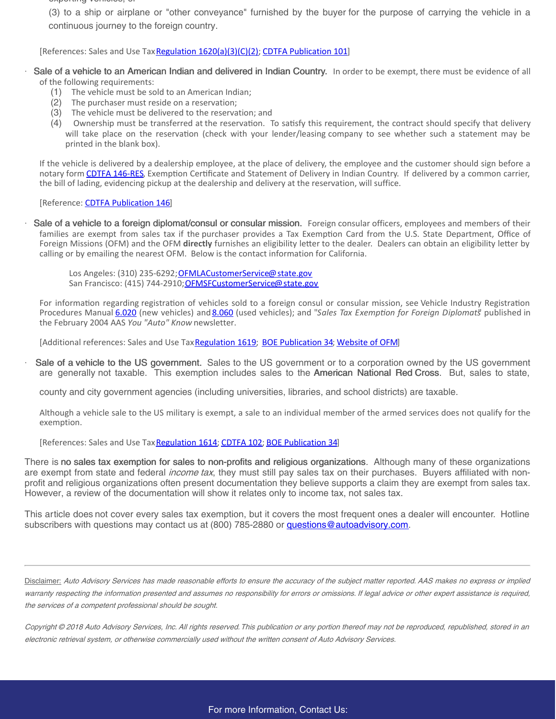exporting vehicles, or

(3) to a ship or airplane or "other conveyance" furnished by the buyer for the purpose of carrying the vehicle in a continuous journey to the foreign country.

[References: Sales and Use Tax Regulation [1620\(a\)\(3\)\(C\)\(2\)](http://www.boe.ca.gov/lawguides/business/current/btlg/vol1/sutr/1620.html); CDTFA [Publication](https://www.cdtfa.ca.gov/formspubs/pub101/#interstate) 101]

- Sale of a vehicle to an American Indian and delivered in Indian Country. In order to be exempt, there must be evidence of all of the following requirements:
	- (1) The vehicle must be sold to an American Indian;
	- (2) The purchaser must reside on a reservation;
	- (3) The vehicle must be delivered to the reservation; and
	- (4) Ownership must be transferred at the reservation. To satisfy this requirement, the contract should specify that delivery will take place on the reservation (check with your lender/leasing company to see whether such a statement may be printed in the blank box).

If the vehicle is delivered by a dealership employee, at the place of delivery, the employee and the customer should sign before a notary form CDTFA [146-RES](http://www.cdtfa.ca.gov/formspubs/cdtfa146res.pdf), Exemption Certificate and Statement of Delivery in Indian Country. If delivered by a common carrier, the bill of lading, evidencing pickup at the dealership and delivery at the reservation, will suffice.

#### [Reference: CDTFA [Publication](http://www.cdtfa.ca.gov/formspubs/pub146.pdf) 146]

Sale of a vehicle to a foreign diplomat/consul or consular mission. Foreign consular officers, employees and members of their families are exempt from sales tax if the purchaser provides a Tax Exemption Card from the U.S. State Department, Office of Foreign Missions (OFM) and the OFM directly furnishes an eligibility letter to the dealer. Dealers can obtain an eligibility letter by calling or by emailing the nearest OFM. Below is the contact information for California.

Los Angeles: (310) 235-6292; [OFMLACustomerService@state.gov](mailto:OFMLACustomerService@state.gov) San Francisco: (415) 744-2910; [OFMSFCustomerService@state.gov](mailto:OFMSFCustomerService@state.gov)

For information regarding registration of vehicles sold to a foreign consul or consular mission, see Vehicle Industry Registration Procedures Manual [6.020](https://www.dmv.ca.gov/portal/wcm/connect/2e70a8c1-5c01-4d95-a0fa-3e577efa329d/ch6_new_vehicles_sold_by_california_dealers.pdf?MOD=AJPERES) (new vehicles) and [8.060](https://www.dmv.ca.gov/portal/wcm/connect/c11faed4-7d39-4925-a524-0235b7c7a66e/ch8_report_of_sale_used_vehicles.pdf?MOD=AJPERES) (used vehicles); and "Sales Tax Exemption for Foreign Diplomats" published in the February 2004 AAS *You "Auto" Know* newsletter.

[Additional references: Sales and Use Tax [Regulation](http://www.boe.ca.gov/lawguides/business/current/btlg/vol1/sutr/1619.html) 1619; BOE [Publication](http://www.boe.ca.gov/pdf/pub34.pdf) 34; [Website](https://www.state.gov/ofm/tax/vehicle/index.htm) of OFM]

Sale of a vehicle to the US government. Sales to the US government or to a corporation owned by the US government are generally not taxable. This exemption includes sales to the American National Red Cross. But, sales to state,

county and city government agencies (including universities, libraries, and school districts) are taxable.

Although a vehicle sale to the US military is exempt, a sale to an individual member of the armed services does not qualify for the exemption.

[References: Sales and Use Tax [Regulation](http://www.boe.ca.gov/lawguides/business/current/btlg/vol1/sutr/1614.html) 1614; [CDTFA](https://www.cdtfa.ca.gov/formspubs/pub102/) 102; BOE [Publication](http://www.boe.ca.gov/pdf/pub34.pdf) 34]

There is no sales tax exemption for sales to non-profits and religious organizations. Although many of these organizations are exempt from state and federal *income tax*, they must still pay sales tax on their purchases. Buyers affiliated with nonprofit and religious organizations often present documentation they believe supports a claim they are exempt from sales tax. However, a review of the documentation will show it relates only to income tax, not sales tax.

This article does not cover every sales tax exemption, but it covers the most frequent ones a dealer will encounter. Hotline subscribers with questions may contact us at (800) 785-2880 or [questions@autoadvisory.com](mailto:hotline@autoadvisory.com).

Disclaimer: Auto Advisory Services has made reasonable efforts to ensure the accuracy of the subject matter reported. AAS makes no express or implied warranty respecting the information presented and assumes no responsibility for errors or omissions. If legal advice or other expert assistance is required, the services of <sup>a</sup> competent professional should be sought.

Copyright © 2018 Auto Advisory Services, Inc. All rights reserved.This publication or any portion thereof may not be reproduced, republished, stored in an electronic retrieval system, or otherwise commercially used without the written consent of Auto Advisory Services.